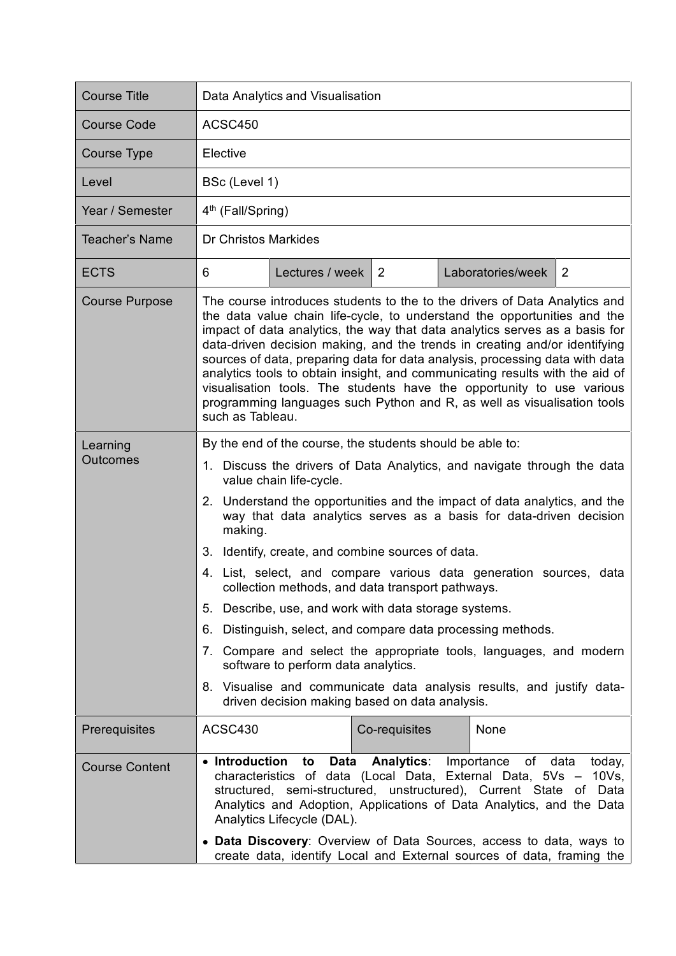| <b>Course Title</b>   | Data Analytics and Visualisation                                                                                                                                                                                                                                                                                                                                                                                                                                                                                                                                                                                                                                                                                                                                                                                                                                                 |
|-----------------------|----------------------------------------------------------------------------------------------------------------------------------------------------------------------------------------------------------------------------------------------------------------------------------------------------------------------------------------------------------------------------------------------------------------------------------------------------------------------------------------------------------------------------------------------------------------------------------------------------------------------------------------------------------------------------------------------------------------------------------------------------------------------------------------------------------------------------------------------------------------------------------|
| <b>Course Code</b>    | ACSC450                                                                                                                                                                                                                                                                                                                                                                                                                                                                                                                                                                                                                                                                                                                                                                                                                                                                          |
| <b>Course Type</b>    | Elective                                                                                                                                                                                                                                                                                                                                                                                                                                                                                                                                                                                                                                                                                                                                                                                                                                                                         |
| Level                 | BSc (Level 1)                                                                                                                                                                                                                                                                                                                                                                                                                                                                                                                                                                                                                                                                                                                                                                                                                                                                    |
| Year / Semester       | 4 <sup>th</sup> (Fall/Spring)                                                                                                                                                                                                                                                                                                                                                                                                                                                                                                                                                                                                                                                                                                                                                                                                                                                    |
| Teacher's Name        | Dr Christos Markides                                                                                                                                                                                                                                                                                                                                                                                                                                                                                                                                                                                                                                                                                                                                                                                                                                                             |
| <b>ECTS</b>           | Lectures / week   2<br>Laboratories/week<br>$\overline{2}$<br>6                                                                                                                                                                                                                                                                                                                                                                                                                                                                                                                                                                                                                                                                                                                                                                                                                  |
| <b>Course Purpose</b> | The course introduces students to the to the drivers of Data Analytics and<br>the data value chain life-cycle, to understand the opportunities and the<br>impact of data analytics, the way that data analytics serves as a basis for<br>data-driven decision making, and the trends in creating and/or identifying<br>sources of data, preparing data for data analysis, processing data with data<br>analytics tools to obtain insight, and communicating results with the aid of<br>visualisation tools. The students have the opportunity to use various<br>programming languages such Python and R, as well as visualisation tools<br>such as Tableau.                                                                                                                                                                                                                      |
| Learning<br>Outcomes  | By the end of the course, the students should be able to:<br>1. Discuss the drivers of Data Analytics, and navigate through the data<br>value chain life-cycle.<br>2. Understand the opportunities and the impact of data analytics, and the<br>way that data analytics serves as a basis for data-driven decision<br>making.<br>3. Identify, create, and combine sources of data.<br>4. List, select, and compare various data generation sources, data<br>collection methods, and data transport pathways.<br>5. Describe, use, and work with data storage systems.<br>Distinguish, select, and compare data processing methods.<br>6.<br>7. Compare and select the appropriate tools, languages, and modern<br>software to perform data analytics.<br>8. Visualise and communicate data analysis results, and justify data-<br>driven decision making based on data analysis. |
| Prerequisites         | ACSC430<br>None<br>Co-requisites                                                                                                                                                                                                                                                                                                                                                                                                                                                                                                                                                                                                                                                                                                                                                                                                                                                 |
| <b>Course Content</b> | Importance<br>• Introduction<br>to<br>Data<br><b>Analytics:</b><br>of<br>data today,<br>characteristics of data (Local Data, External Data, 5Vs - 10Vs,<br>structured, semi-structured, unstructured), Current State of Data<br>Analytics and Adoption, Applications of Data Analytics, and the Data<br>Analytics Lifecycle (DAL).<br>• Data Discovery: Overview of Data Sources, access to data, ways to<br>create data, identify Local and External sources of data, framing the                                                                                                                                                                                                                                                                                                                                                                                               |